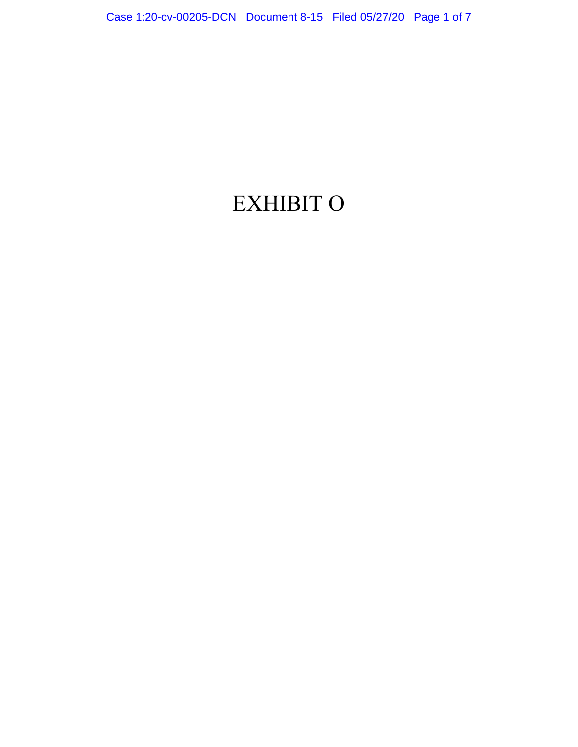## EXHIBIT O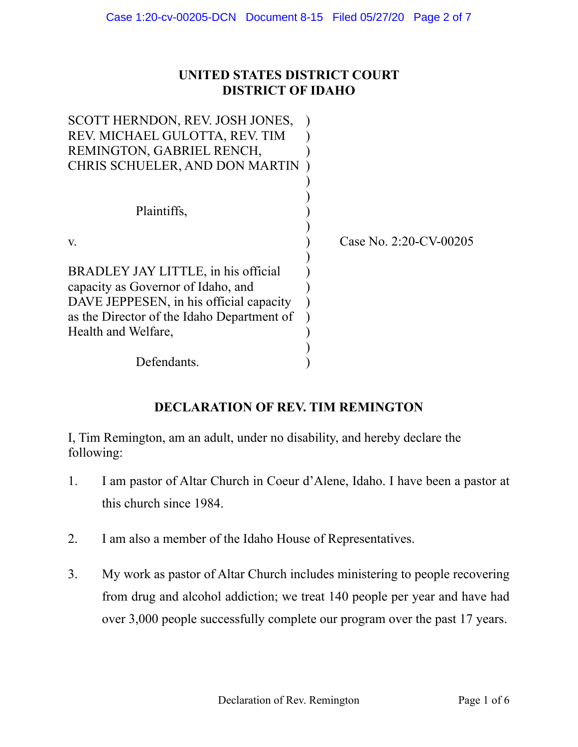## **UNITED STATES DISTRICT COURT DISTRICT OF IDAHO**

| SCOTT HERNDON, REV. JOSH JONES,            |                        |
|--------------------------------------------|------------------------|
| REV. MICHAEL GULOTTA, REV. TIM             |                        |
| REMINGTON, GABRIEL RENCH,                  |                        |
| CHRIS SCHUELER, AND DON MARTIN             |                        |
|                                            |                        |
|                                            |                        |
| Plaintiffs,                                |                        |
|                                            |                        |
| V.                                         | Case No. 2:20-CV-00205 |
|                                            |                        |
| BRADLEY JAY LITTLE, in his official        |                        |
| capacity as Governor of Idaho, and         |                        |
| DAVE JEPPESEN, in his official capacity    |                        |
| as the Director of the Idaho Department of |                        |
| Health and Welfare,                        |                        |
|                                            |                        |
| Defendants.                                |                        |

## **DECLARATION OF REV. TIM REMINGTON**

I, Tim Remington, am an adult, under no disability, and hereby declare the following:

- 1. I am pastor of Altar Church in Coeur d'Alene, Idaho. I have been a pastor at this church since 1984.
- 2. I am also a member of the Idaho House of Representatives.
- 3. My work as pastor of Altar Church includes ministering to people recovering from drug and alcohol addiction; we treat 140 people per year and have had over 3,000 people successfully complete our program over the past 17 years.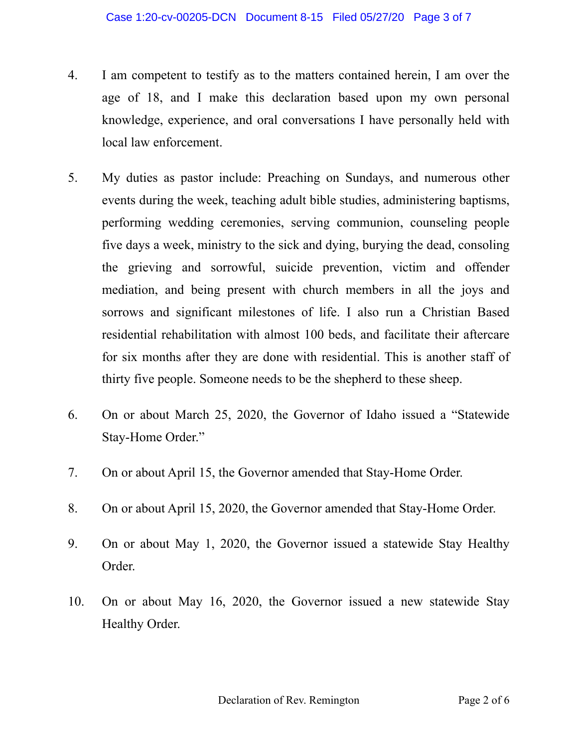- 4. I am competent to testify as to the matters contained herein, I am over the age of 18, and I make this declaration based upon my own personal knowledge, experience, and oral conversations I have personally held with local law enforcement.
- 5. My duties as pastor include: Preaching on Sundays, and numerous other events during the week, teaching adult bible studies, administering baptisms, performing wedding ceremonies, serving communion, counseling people five days a week, ministry to the sick and dying, burying the dead, consoling the grieving and sorrowful, suicide prevention, victim and offender mediation, and being present with church members in all the joys and sorrows and significant milestones of life. I also run a Christian Based residential rehabilitation with almost 100 beds, and facilitate their aftercare for six months after they are done with residential. This is another staff of thirty five people. Someone needs to be the shepherd to these sheep.
- 6. On or about March 25, 2020, the Governor of Idaho issued a "Statewide Stay-Home Order."
- 7. On or about April 15, the Governor amended that Stay-Home Order.
- 8. On or about April 15, 2020, the Governor amended that Stay-Home Order.
- 9. On or about May 1, 2020, the Governor issued a statewide Stay Healthy Order.
- 10. On or about May 16, 2020, the Governor issued a new statewide Stay Healthy Order.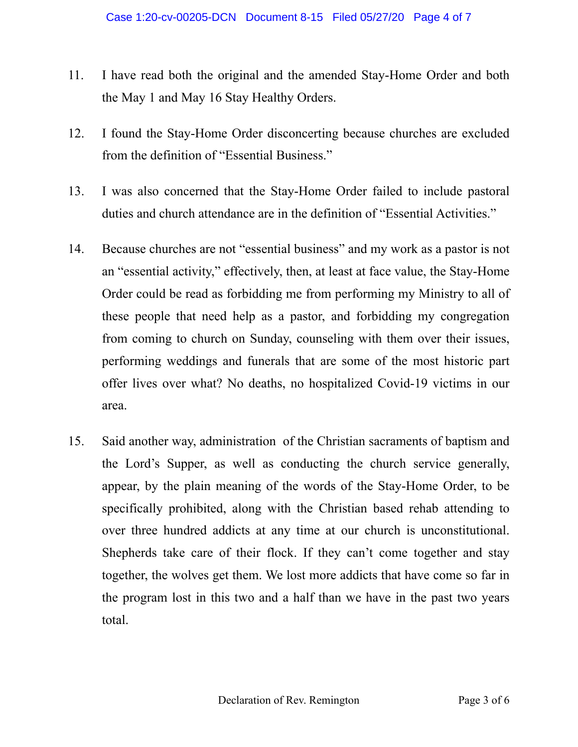- 11. I have read both the original and the amended Stay-Home Order and both the May 1 and May 16 Stay Healthy Orders.
- 12. I found the Stay-Home Order disconcerting because churches are excluded from the definition of "Essential Business."
- 13. I was also concerned that the Stay-Home Order failed to include pastoral duties and church attendance are in the definition of "Essential Activities."
- 14. Because churches are not "essential business" and my work as a pastor is not an "essential activity," effectively, then, at least at face value, the Stay-Home Order could be read as forbidding me from performing my Ministry to all of these people that need help as a pastor, and forbidding my congregation from coming to church on Sunday, counseling with them over their issues, performing weddings and funerals that are some of the most historic part offer lives over what? No deaths, no hospitalized Covid-19 victims in our area.
- 15. Said another way, administration of the Christian sacraments of baptism and the Lord's Supper, as well as conducting the church service generally, appear, by the plain meaning of the words of the Stay-Home Order, to be specifically prohibited, along with the Christian based rehab attending to over three hundred addicts at any time at our church is unconstitutional. Shepherds take care of their flock. If they can't come together and stay together, the wolves get them. We lost more addicts that have come so far in the program lost in this two and a half than we have in the past two years total.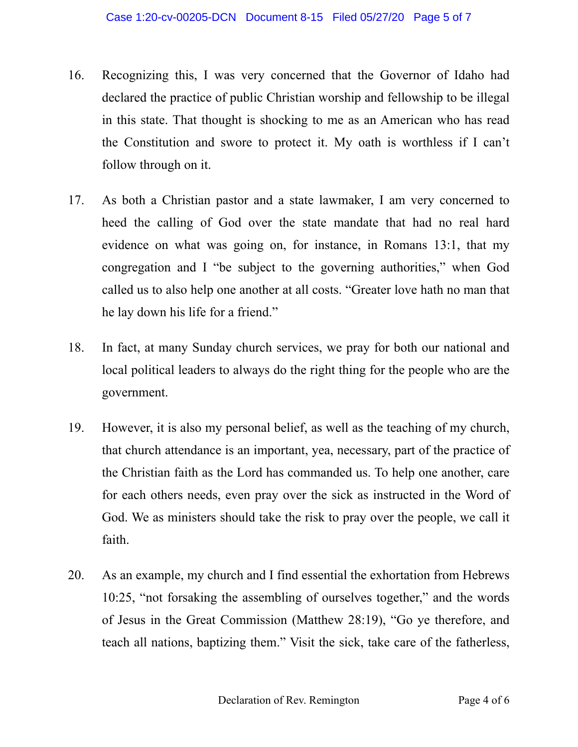- 16. Recognizing this, I was very concerned that the Governor of Idaho had declared the practice of public Christian worship and fellowship to be illegal in this state. That thought is shocking to me as an American who has read the Constitution and swore to protect it. My oath is worthless if I can't follow through on it.
- 17. As both a Christian pastor and a state lawmaker, I am very concerned to heed the calling of God over the state mandate that had no real hard evidence on what was going on, for instance, in Romans 13:1, that my congregation and I "be subject to the governing authorities," when God called us to also help one another at all costs. "Greater love hath no man that he lay down his life for a friend."
- 18. In fact, at many Sunday church services, we pray for both our national and local political leaders to always do the right thing for the people who are the government.
- 19. However, it is also my personal belief, as well as the teaching of my church, that church attendance is an important, yea, necessary, part of the practice of the Christian faith as the Lord has commanded us. To help one another, care for each others needs, even pray over the sick as instructed in the Word of God. We as ministers should take the risk to pray over the people, we call it faith.
- 20. As an example, my church and I find essential the exhortation from Hebrews 10:25, "not forsaking the assembling of ourselves together," and the words of Jesus in the Great Commission (Matthew 28:19), "Go ye therefore, and teach all nations, baptizing them." Visit the sick, take care of the fatherless,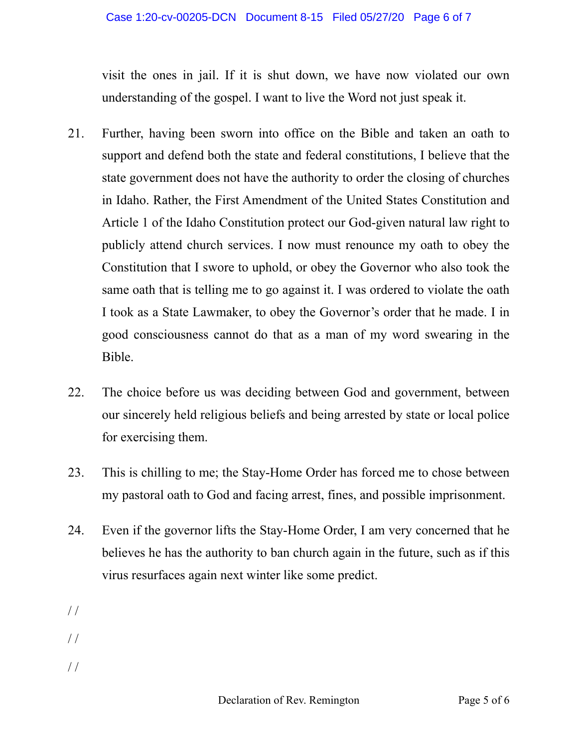visit the ones in jail. If it is shut down, we have now violated our own understanding of the gospel. I want to live the Word not just speak it.

- 21. Further, having been sworn into office on the Bible and taken an oath to support and defend both the state and federal constitutions, I believe that the state government does not have the authority to order the closing of churches in Idaho. Rather, the First Amendment of the United States Constitution and Article 1 of the Idaho Constitution protect our God-given natural law right to publicly attend church services. I now must renounce my oath to obey the Constitution that I swore to uphold, or obey the Governor who also took the same oath that is telling me to go against it. I was ordered to violate the oath I took as a State Lawmaker, to obey the Governor's order that he made. I in good consciousness cannot do that as a man of my word swearing in the Bible.
- 22. The choice before us was deciding between God and government, between our sincerely held religious beliefs and being arrested by state or local police for exercising them.
- 23. This is chilling to me; the Stay-Home Order has forced me to chose between my pastoral oath to God and facing arrest, fines, and possible imprisonment.
- 24. Even if the governor lifts the Stay-Home Order, I am very concerned that he believes he has the authority to ban church again in the future, such as if this virus resurfaces again next winter like some predict.
- / /
- / /
- $//$